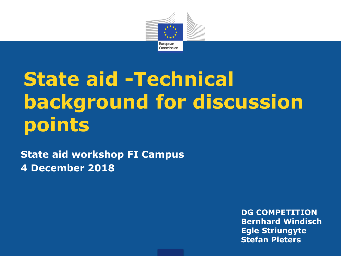

# **State aid -Technical background for discussion points**

**State aid workshop FI Campus 4 December 2018**

> **DG COMPETITION Bernhard Windisch Egle Striungyte Stefan Pieters**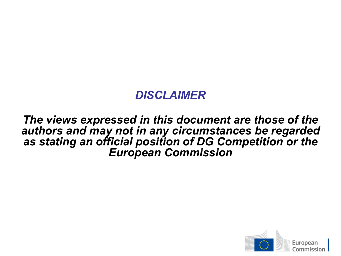### *DISCLAIMER*

### *The views expressed in this document are those of the authors and may not in any circumstances be regarded as stating an official position of DG Competition or the European Commission*

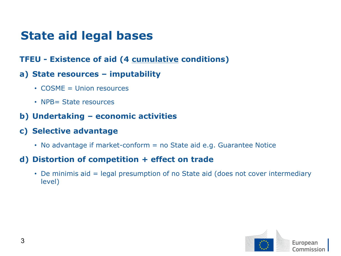### **State aid legal bases**

**TFEU - Existence of aid (4 cumulative conditions)**

#### **a) State resources – imputability**

- COSME = Union resources
- NPB= State resources
- **b) Undertaking – economic activities**
- **c) Selective advantage**
	- No advantage if market-conform = no State aid e.g. Guarantee Notice

#### **d) Distortion of competition + effect on trade**

• De minimis aid = legal presumption of no State aid (does not cover intermediary level)

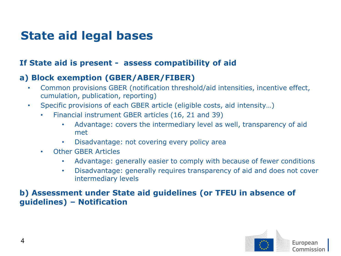### **State aid legal bases**

#### **If State aid is present - assess compatibility of aid**

#### **a) Block exemption (GBER/ABER/FIBER)**

- Common provisions GBER (notification threshold/aid intensities, incentive effect, cumulation, publication, reporting)
- Specific provisions of each GBER article (eligible costs, aid intensity…)
	- Financial instrument GBER articles (16, 21 and 39)
		- Advantage: covers the intermediary level as well, transparency of aid met
		- Disadvantage: not covering every policy area
	- Other GBER Articles
		- Advantage: generally easier to comply with because of fewer conditions
		- Disadvantage: generally requires transparency of aid and does not cover intermediary levels

#### **b) Assessment under State aid guidelines (or TFEU in absence of guidelines) – Notification**

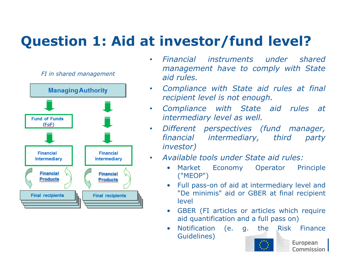## **Question 1: Aid at investor/fund level?**



- *Financial instruments under shared management have to comply with State aid rules.*
- *Compliance with State aid rules at final recipient level is not enough.*
- *Compliance with State aid rules at intermediary level as well.*
- *Different perspectives (fund manager, financial intermediary, third party investor)*
	- *Available tools under State aid rules:*
		- Market Economy Operator Principle ("MEOP")
		- Full pass-on of aid at intermediary level and "De minimis" aid or GBER at final recipient level
		- GBER (FI articles or articles which require aid quantification and a full pass on)
		- Notification (e. g. the Risk Finance Guidelines)



European Commission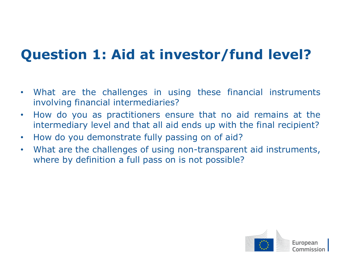## **Question 1: Aid at investor/fund level?**

- What are the challenges in using these financial instruments involving financial intermediaries?
- How do you as practitioners ensure that no aid remains at the intermediary level and that all aid ends up with the final recipient?
- How do you demonstrate fully passing on of aid?
- What are the challenges of using non-transparent aid instruments, where by definition a full pass on is not possible?

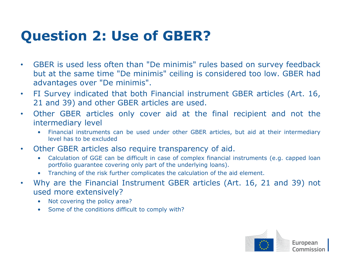## **Question 2: Use of GBER?**

- GBER is used less often than "De minimis" rules based on survey feedback but at the same time "De minimis" ceiling is considered too low. GBER had advantages over "De minimis".
- FI Survey indicated that both Financial instrument GBER articles (Art. 16, 21 and 39) and other GBER articles are used.
- Other GBER articles only cover aid at the final recipient and not the intermediary level
	- Financial instruments can be used under other GBER articles, but aid at their intermediary level has to be excluded
- Other GBER articles also require transparency of aid.
	- Calculation of GGE can be difficult in case of complex financial instruments (e.g. capped loan portfolio guarantee covering only part of the underlying loans).
	- Tranching of the risk further complicates the calculation of the aid element.
- Why are the Financial Instrument GBER articles (Art. 16, 21 and 39) not used more extensively?
	- Not covering the policy area?
	- Some of the conditions difficult to comply with?